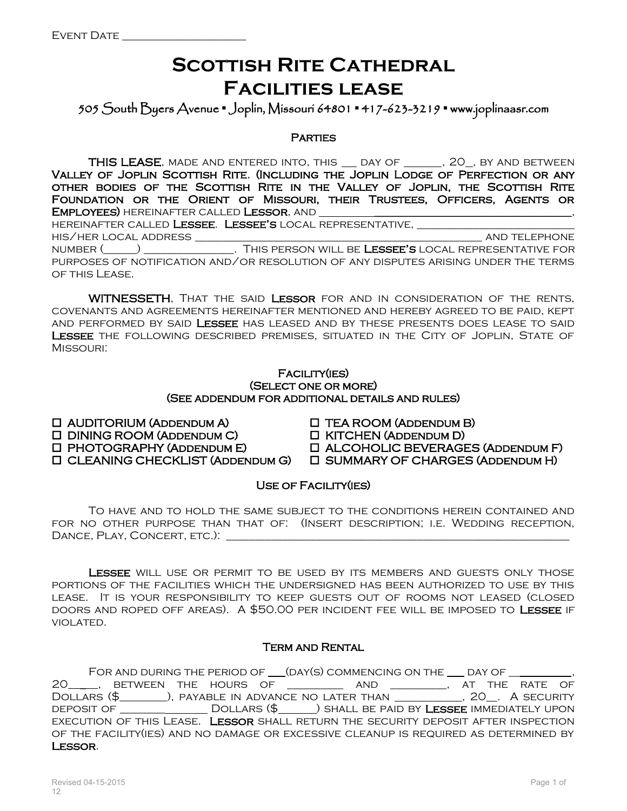### **SCOTTISH RITE CATHEDRAL Facilities lease**

505 South Byers Avenue **▪** Joplin, Missouri 64801 **▪** 417-623-3219 **▪** www.joplinaasr.com

**PARTIES** 

THIS LEASE, MADE AND ENTERED INTO, THIS \_\_ DAY OF \_\_\_\_\_, 20\_, BY AND BETWEEN Valley of Joplin Scottish Rite, (Including the Joplin Lodge of Perfection or any other bodies of the Scottish Rite in the Valley of Joplin, the Scottish Rite Foundation or the Orient of Missouri, their Trustees, Officers, Agents or Employees) hereinafter called Lessor, and \_\_\_\_\_\_\_\_\_\_\_\_\_\_\_\_\_\_\_\_\_\_\_\_\_\_\_\_\_\_\_\_\_\_\_,

HEREINAFTER CALLED **LESSEE. LESSEE'S** LOCAL REPRESENTATIVE, his/her local address \_\_\_\_\_\_\_\_\_\_\_\_\_\_\_\_\_\_\_\_\_\_\_\_\_\_\_\_\_\_\_\_\_\_\_\_\_\_\_\_\_\_\_\_\_\_\_\_\_\_\_ and telephone number (\_\_\_\_\_\_) \_\_\_\_\_\_\_\_\_\_\_\_\_\_\_\_. This person will be Lessee's local representative for purposes of notification and/or resolution of any disputes arising under the terms OF THIS LEASE.

WITNESSETH, THAT THE SAID LESSOR FOR AND IN CONSIDERATION OF THE RENTS, covenants and agreements hereinafter mentioned and hereby agreed to be paid, kept and performed by said Lessee has leased and by these presents does lease to said LESSEE THE FOLLOWING DESCRIBED PREMISES, SITUATED IN THE CITY OF JOPLIN, STATE OF Missouri:

#### Facility(ies) (Select one or more) (See addendum for additional details and rules)

 $\Box$  AUDITORIUM (ADDENDUM A)  $\Box$  TEA ROOM (ADDENDUM B)

DINING ROOM (Addendum C) KITCHEN (Addendum D)

PHOTOGRAPHY (Addendum E) ALCOHOLIC BEVERAGES (Addendum F)

CLEANING CHECKLIST (Addendum G) SUMMARY OF CHARGES (Addendum H)

Use of Facility(ies)

To have and to hold the same subject to the conditions herein contained and for no other purpose than that of: (Insert description; i.e. Wedding reception, DANCE, PLAY, CONCERT, ETC.): \_\_\_\_\_\_\_\_

LESSEE WILL USE OR PERMIT TO BE USED BY ITS MEMBERS AND GUESTS ONLY THOSE portions of the facilities which the undersigned has been authorized to use by this lease. It is your responsibility to keep guests out of rooms not leased (closed doors and roped off areas). A \$50.00 per incident fee will be imposed to Lessee if violated.

### Term and Rental

FOR AND DURING THE PERIOD OF  $\rule{1em}{0.15mm}$  (DAY(S) COMMENCING ON THE  $\rule{1em}{0.15mm}$  DAY OF  $\rule{1em}{0.15mm}$ 20\_\_\_\_\_, BETWEEN THE HOURS OF \_\_\_\_\_\_\_\_\_\_ AND \_\_\_\_\_\_\_\_\_, AT THE RATE OF DOLLARS (\$\_\_\_\_\_\_\_), PAYABLE IN ADVANCE NO LATER THAN \_\_\_\_\_\_\_\_\_\_, 20\_. A SECURITY DEPOSIT OF \_\_\_\_\_\_\_\_\_\_\_\_\_\_\_\_ DOLLARS (\$\_\_\_\_\_) SHALL BE PAID BY LESSEE IMMEDIATELY UPON execution of this Lease. Lessor shall return the security deposit after inspection of the facility(ies) and no damage or excessive cleanup is required as determined by Lessor.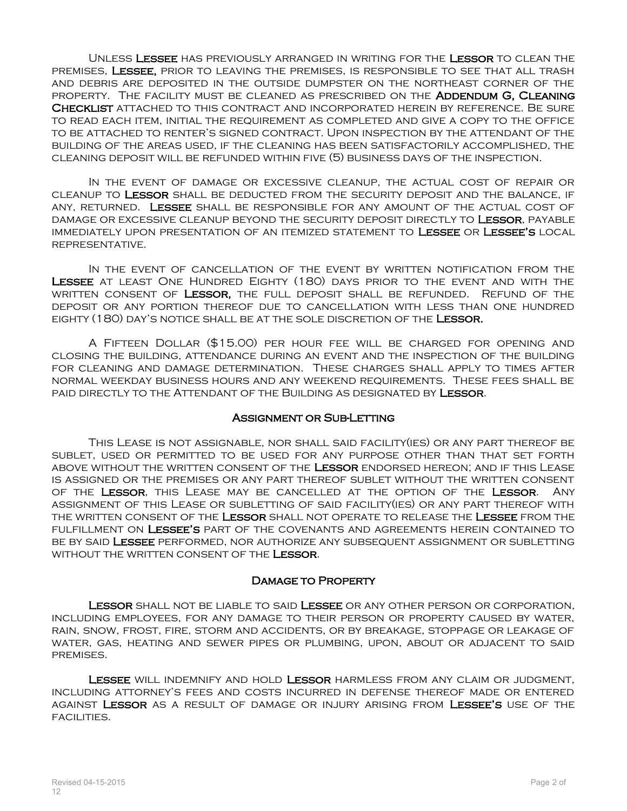Unless Lessee has previously arranged in writing for the Lessor to clean the premises, Lessee, prior to leaving the premises, is responsible to see that all trash and debris are deposited in the outside dumpster on the northeast corner of the property. The facility must be cleaned as prescribed on the Addendum G, Cleaning Checklist attached to this contract and incorporated herein by reference. Be sure to read each item, initial the requirement as completed and give a copy to the office to be attached to renter's signed contract. Upon inspection by the attendant of the building of the areas used, if the cleaning has been satisfactorily accomplished, the cleaning deposit will be refunded within five (5) business days of the inspection.

In the event of damage or excessive cleanup, the actual cost of repair or cleanup to Lessor shall be deducted from the security deposit and the balance, if any, returned. Lessee shall be responsible for any amount of the actual cost of damage or excessive cleanup beyond the security deposit directly to Lessor, payable immediately upon presentation of an itemized statement to Lessee or Lessee's local representative.

IN THE EVENT OF CANCELLATION OF THE EVENT BY WRITTEN NOTIFICATION FROM THE Lessee at least One Hundred Eighty (180) days prior to the event and with the written consent of Lessor, the full deposit shall be refunded. Refund of the deposit or any portion thereof due to cancellation with less than one hundred eighty (180) day's notice shall be at the sole discretion of the Lessor.

A Fifteen Dollar (\$15.00) per hour fee will be charged for opening and closing the building, attendance during an event and the inspection of the building for cleaning and damage determination. These charges shall apply to times after normal weekday business hours and any weekend requirements. These fees shall be paid directly to the Attendant of the Building as designated by Lessor.

#### Assignment or Sub-Letting

This Lease is not assignable, nor shall said facility(ies) or any part thereof be sublet, used or permitted to be used for any purpose other than that set forth ABOVE WITHOUT THE WRITTEN CONSENT OF THE LESSOR ENDORSED HEREON; AND IF THIS LEASE is assigned or the premises or any part thereof sublet without the written consent of the Lessor, this Lease may be cancelled at the option of the Lessor. Any assignment of this Lease or subletting of said facility(ies) or any part thereof with THE WRITTEN CONSENT OF THE LESSOR SHALL NOT OPERATE TO RELEASE THE LESSEE FROM THE fulfillment on Lessee's part of the covenants and agreements herein contained to be by said Lessee performed, nor authorize any subsequent assignment or subletting WITHOUT THE WRITTEN CONSENT OF THE LESSOR.

#### Damage to Property

Lessor shall not be liable to said Lessee or any other person or corporation, including employees, for any damage to their person or property caused by water, rain, snow, frost, fire, storm and accidents, or by breakage, stoppage or leakage of water, gas, heating and sewer pipes or plumbing, upon, about or adjacent to said premises.

LESSEE WILL INDEMNIFY AND HOLD LESSOR HARMLESS FROM ANY CLAIM OR JUDGMENT, including attorney's fees and costs incurred in defense thereof made or entered against Lessor as a result of damage or injury arising from Lessee's use of the facilities.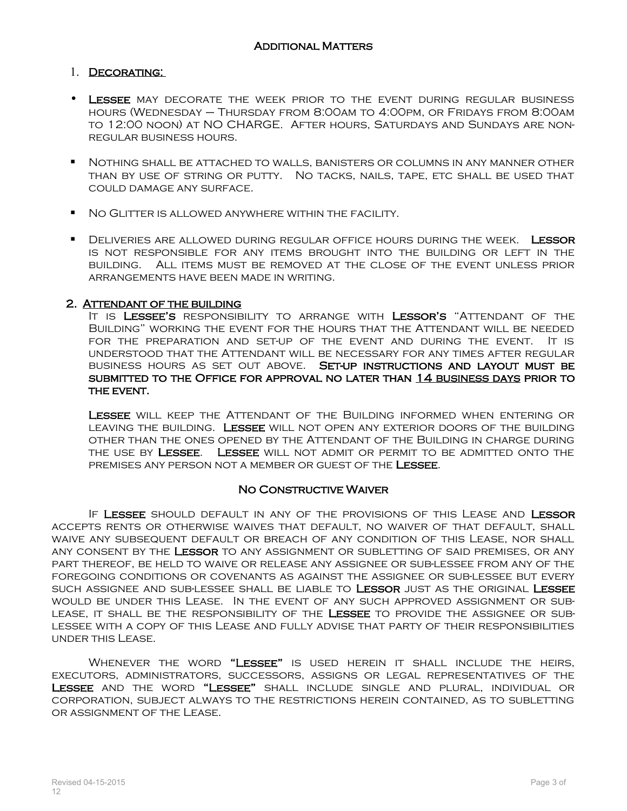### 1. Decorating:

- Lessee may decorate the week prior to the event during regular business hours (Wednesday – Thursday from 8:00am to 4:00pm, or Fridays from 8:00am to 12:00 noon) at NO CHARGE. After hours, Saturdays and Sundays are nonregular business hours.
- Nothing shall be attached to walls, banisters or columns in any manner other than by use of string or putty. No tacks, nails, tape, etc shall be used that could damage any surface.
- **NO GLITTER IS ALLOWED ANYWHERE WITHIN THE FACILITY.**
- **DELIVERIES ARE ALLOWED DURING REGULAR OFFICE HOURS DURING THE WEEK. LESSOR** is not responsible for any items brought into the building or left in the building. All items must be removed at the close of the event unless prior arrangements have been made in writing.

### 2. ATTENDANT OF THE BUILDING

It is Lessee's responsibility to arrange with Lessor's "Attendant of the Building" working the event for the hours that the Attendant will be needed for the preparation and set-up of the event and during the event. It is understood that the Attendant will be necessary for any times after regular business hours as set out above. Set-up instructions and layout must be submitted to the Office for approval no later than 14 business days prior to THE EVENT.

LESSEE WILL KEEP THE ATTENDANT OF THE BUILDING INFORMED WHEN ENTERING OR leaving the building. Lessee will not open any exterior doors of the building other than the ones opened by the Attendant of the Building in charge during THE USE BY LESSEE. LESSEE WILL NOT ADMIT OR PERMIT TO BE ADMITTED ONTO THE premises any person not a member or guest of the Lessee.

### No Constructive Waiver

If Lessee should default in any of the provisions of this Lease and Lessor accepts rents or otherwise waives that default, no waiver of that default, shall waive any subsequent default or breach of any condition of this Lease, nor shall any consent by the Lessor to any assignment or subletting of said premises, or any part thereof, be held to waive or release any assignee or sub-lessee from any of the foregoing conditions or covenants as against the assignee or sub-lessee but every such assignee and sub-lessee shall be liable to Lessor just as the original Lessee would be under this Lease. In the event of any such approved assignment or sublease, it shall be the responsibility of the Lessee to provide the assignee or sublessee with a copy of this Lease and fully advise that party of their responsibilities under this Lease.

WHENEVER THE WORD "LESSEE" IS USED HEREIN IT SHALL INCLUDE THE HEIRS, executors, administrators, successors, assigns or legal representatives of the Lessee and the word "Lessee" shall include single and plural, individual or corporation, subject always to the restrictions herein contained, as to subletting or assignment of the Lease.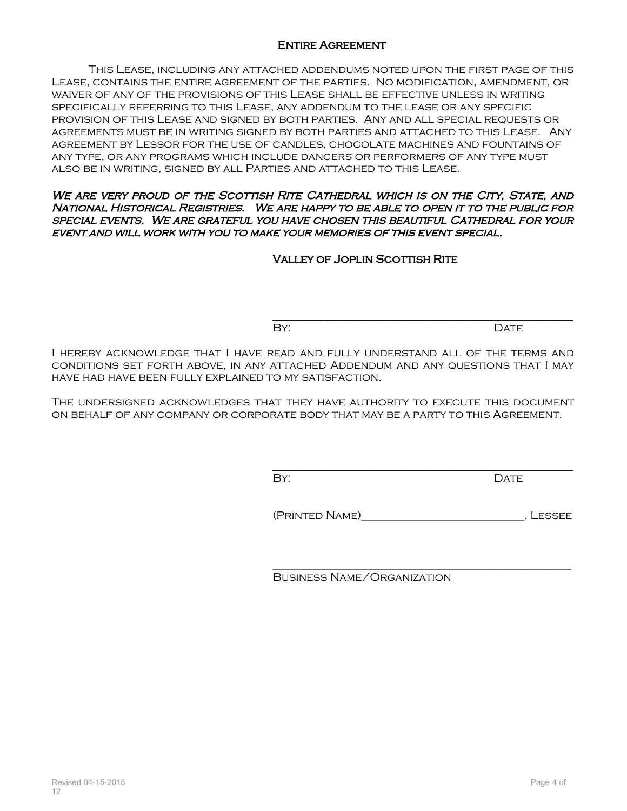### **ENTIRE AGREEMENT**

This Lease, including any attached addendums noted upon the first page of this Lease, contains the entire agreement of the parties. No modification, amendment, or waiver of any of the provisions of this Lease shall be effective unless in writing specifically referring to this Lease, any addendum to the lease or any specific provision of this Lease and signed by both parties. Any and all special requests or agreements must be in writing signed by both parties and attached to this Lease. Any agreement by Lessor for the use of candles, chocolate machines and fountains of any type, or any programs which include dancers or performers of any type must also be in writing, signed by all Parties and attached to this Lease.

We are very proud of the Scottish Rite Cathedral which is on the City, State, and National Historical Registries. We are happy to be able to open it to the public for special events. We are grateful you have chosen this beautiful Cathedral for your event and will work with you to make your memories of this event special.

Valley of Joplin Scottish Rite

BY: DATE

I hereby acknowledge that I have read and fully understand all of the terms and conditions set forth above, in any attached Addendum and any questions that I may have had have been fully explained to my satisfaction.

The undersigned acknowledges that they have authority to execute this document on behalf of any company or corporate body that may be a party to this Agreement.

By: DATE

(Printed Name)\_\_\_\_\_\_\_\_\_\_\_\_\_\_\_\_\_\_\_\_\_\_\_\_\_\_\_\_\_, Lessee

\_\_\_\_\_\_\_\_\_\_\_\_\_\_\_\_\_\_\_\_\_\_\_\_\_\_\_\_\_\_\_\_\_\_\_\_\_\_\_\_\_\_\_\_\_\_\_\_\_\_\_\_\_

\_\_\_\_\_\_\_\_\_\_\_\_\_\_\_\_\_\_\_\_\_\_\_\_\_\_\_\_\_\_\_\_\_\_\_\_\_\_\_\_\_\_\_\_

\_\_\_\_\_\_\_\_\_\_\_\_\_\_\_\_\_\_\_\_\_\_\_\_\_\_\_\_\_\_\_\_\_\_\_\_\_\_\_\_\_\_\_\_

Business Name/Organization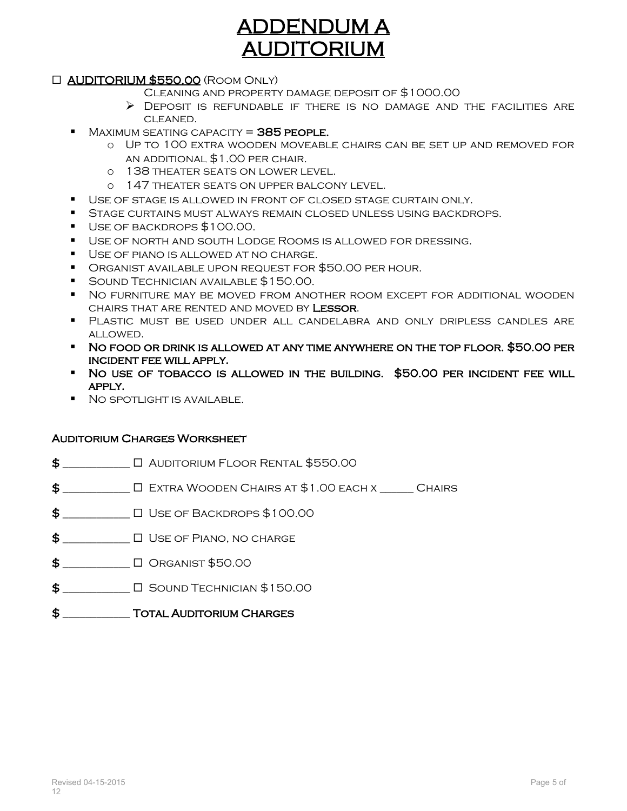## ADDENDUM A AUDITORIUM

### AUDITORIUM \$550.00 (Room Only)

- Cleaning and property damage deposit of \$1000.00
- $\triangleright$  Deposit is refundable if there is no damage and the facilities are cleaned.
- $MAXIMUM SEATING CAPACITY = 385 PEOPLE.$ 
	- o Up to 100 extra wooden moveable chairs can be set up and removed for an additional \$1.00 per chair.
	- o 138 theater seats on lower level.
	- o 147 theater seats on upper balcony level.
- Use of stage is allowed in front of closed stage curtain only.
- **STAGE CURTAINS MUST ALWAYS REMAIN CLOSED UNLESS USING BACKDROPS.**
- Use of backdrops \$100.00.
- Use of north and south Lodge Rooms is allowed for dressing.
- **USE OF PIANO IS ALLOWED AT NO CHARGE.**
- Organist available upon request for \$50.00 per hour.
- Sound Technician available \$150.00.
- No furniture may be moved from another room except for additional wooden chairs that are rented and moved by Lessor.
- Plastic must be used under all candelabra and only dripless candles are allowed.
- No food or drink is allowed at any time anywhere on the top floor. \$50.00 per incident fee will apply.
- No use of tobacco is allowed in the building. \$50.00 per incident fee will apply.
- **NO SPOTLIGHT IS AVAILABLE.**

#### Auditorium Charges Worksheet

- $\textbf{\$}$   $\Box$  Auditorium Floor Rental \$550.00
- \$ \_\_\_\_\_\_\_\_\_\_\_\_ Extra Wooden Chairs at \$1.00 each x \_\_\_\_\_\_ Chairs
- $\$\quad$
- $\$\_\_$
- \$ \_\_\_\_\_\_\_\_\_\_\_\_ Organist \$50.00
- $$$   $\Box$   $\Box$  Sound Technician \$150.00
- $\$\$  TOTAL AUDITORIUM CHARGES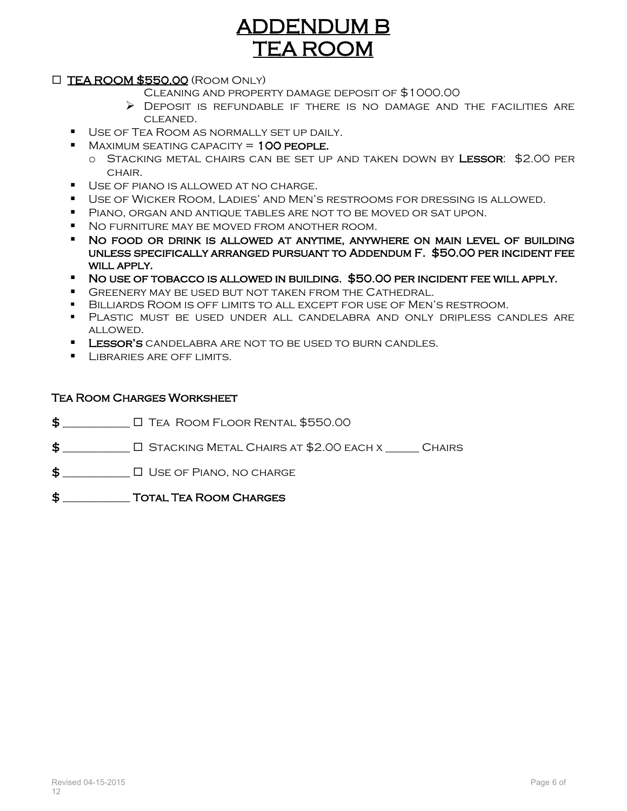# ADDENDUM B TEA ROOM

### TEA ROOM \$550.00 (Room Only)

- Cleaning and property damage deposit of \$1000.00
- $\triangleright$  Deposit is refundable if there is no damage and the facilities are cleaned.
- Use of Tea Room as normally set up daily.
- $MAXIMUM SEATING CAPACITY = 100 PEDPLE.$ 
	- o STACKING METAL CHAIRS CAN BE SET UP AND TAKEN DOWN BY LESSOR: \$2.00 PER CHAIR.
- **USE OF PIANO IS ALLOWED AT NO CHARGE.**
- Use of Wicker Room, Ladies' and Men's restrooms for dressing is allowed.
- Piano, organ and antique tables are not to be moved or sat upon.
- No furniture may be moved from another room.
- No food or drink is allowed at anytime, anywhere on main level of building unless specifically arranged pursuant to Addendum F. \$50.00 per incident fee WILL APPLY.
- No use of tobacco is allowed in building. \$50.00 per incident fee will apply.
- Greenery may be used but not taken from the Cathedral.
- Billiards Room is off limits to all except for use of Men's restroom.
- Plastic must be used under all candelabra and only dripless candles are allowed.
- **LESSOR'S** CANDELABRA ARE NOT TO BE USED TO BURN CANDLES.
- **LIBRARIES ARE OFF LIMITS.**

### Tea Room Charges Worksheet

- $\frac{1}{2}$   $\Box$  Tea Room Floor Rental \$550.00
- $\texttt{\$}$   $\Box$  Stacking Metal Chairs at \$2.00 each x  $\Box$  Chairs
- $\sharp$   $\square$  Use of Piano, no charge
- \$ \_\_\_\_\_\_\_\_\_\_\_\_ Total Tea Room Charges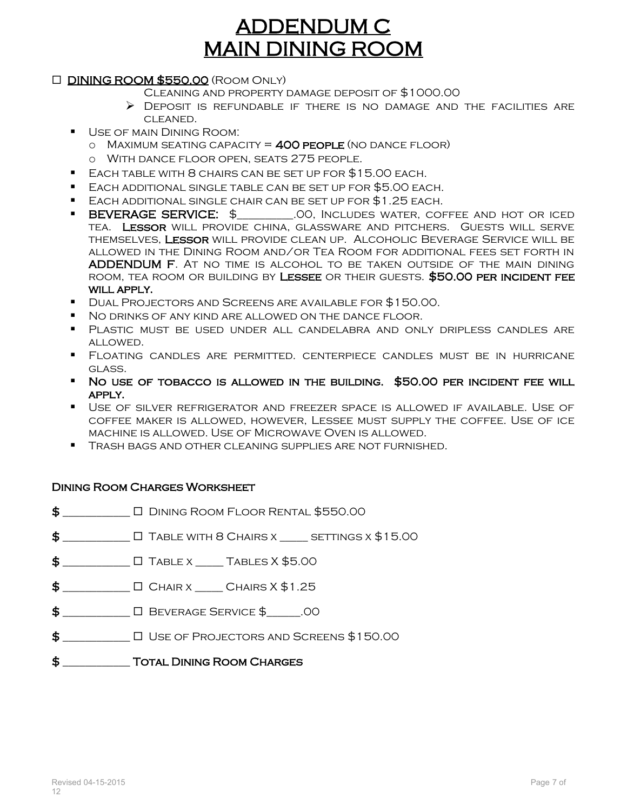## ADDENDUM C MAIN DINING ROOM

### DINING ROOM \$550.00 (Room Only)

- Cleaning and property damage deposit of \$1000.00
- $\triangleright$  Deposit is refundable if there is no damage and the facilities are cleaned.
- **USE OF MAIN DINING ROOM:** 
	- $\circ$  Maximum seating capacity = 400 people (no dance floor)
	- o With dance floor open, seats 275 people.
- Each table with 8 chairs can be set up for \$15.00 each.
- Each additional single table can be set up for \$5.00 each.
- Each additional single chair can be set up for \$1.25 each.
- **BEVERAGE SERVICE:** \$ .00, Includes water, coffee and hot or iced tea. Lessor will provide china, glassware and pitchers. Guests will serve themselves, Lessor will provide clean up. Alcoholic Beverage Service will be allowed in the Dining Room and/or Tea Room for additional fees set forth in ADDENDUM F. At no time is alcohol to be taken outside of the main dining room, tea room or building by Lessee or their guests. \$50.00 per incident fee WILL APPLY.
- Dual Projectors and Screens are available for \$150.00.
- No drinks of any kind are allowed on the dance floor.
- Plastic must be used under all candelabra and only dripless candles are allowed.
- Floating candles are permitted. centerpiece candles must be in hurricane glass.
- No use of tobacco is allowed in the building. \$50.00 per incident fee will apply.
- Use of silver refrigerator and freezer space is allowed if available. Use of coffee maker is allowed, however, Lessee must supply the coffee. Use of ice machine is allowed. Use of Microwave Oven is allowed.
- Trash bags and other cleaning supplies are not furnished.

### Dining Room Charges Worksheet

- $\frac{16}{2}$  \_\_\_\_\_\_\_\_\_\_\_\_\_\_\_\_\_  $\Box$  Dining Room Floor Rental \$550.00
- $$$  \_\_\_\_\_\_\_\_\_\_\_\_  $\Box$  Table with 8 Chairs x \_\_\_\_\_ settings x  $$15.00$
- $\textbf{\$}$   $\square$  Table x  $\square$  Tables X  $\text{\$5.00}$
- $$$  \_\_\_\_\_\_\_\_\_\_\_\_  $\Box$  Chair x \_\_\_\_\_ Chairs X  $$1.25$
- $\$\qquad \qquad \Box\ \text{BEVERAGE}$  SERVICE  $\$$  00
- $\$\quad$
- $\sharp$  Total Dining Room Charges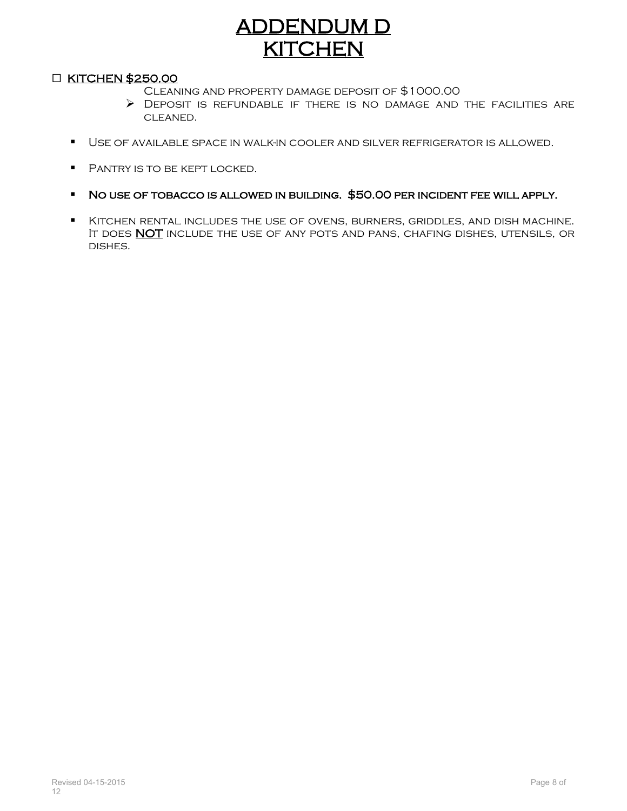# ADDENDUM D **KITCHEN**

### **D KITCHEN \$250.00**

- Cleaning and property damage deposit of \$1000.00
- Deposit is refundable if there is no damage and the facilities are cleaned.
- Use of available space in walk-in cooler and silver refrigerator is allowed.
- **PANTRY IS TO BE KEPT LOCKED.**
- No use of tobacco is allowed in building. \$50.00 per incident fee will apply.
- Kitchen rental includes the use of ovens, burners, griddles, and dish machine. IT DOES **NOT** INCLUDE THE USE OF ANY POTS AND PANS, CHAFING DISHES, UTENSILS, OR dishes.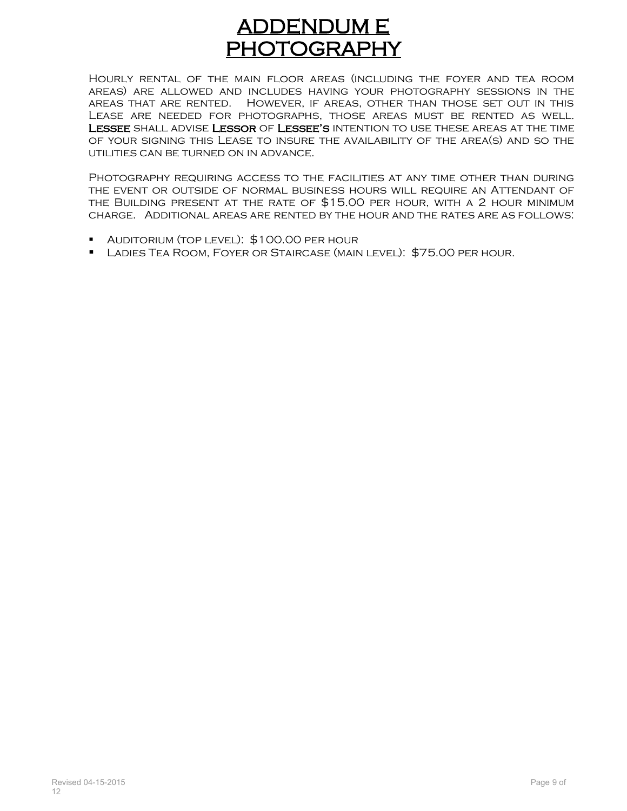## ADDENDUM E PHOTOGRAPHY

Hourly rental of the main floor areas (including the foyer and tea room areas) are allowed and includes having your photography sessions in the areas that are rented. However, if areas, other than those set out in this Lease are needed for photographs, those areas must be rented as well. LESSEE SHALL ADVISE LESSOR OF LESSEE'S INTENTION TO USE THESE AREAS AT THE TIME of your signing this Lease to insure the availability of the area(s) and so the utilities can be turned on in advance.

PHOTOGRAPHY REQUIRING ACCESS TO THE FACILITIES AT ANY TIME OTHER THAN DURING the event or outside of normal business hours will require an Attendant of the Building present at the rate of \$15.00 per hour, with a 2 hour minimum charge. Additional areas are rented by the hour and the rates are as follows:

- **AUDITORIUM (TOP LEVEL): \$100.00 PER HOUR**
- **LADIES TEA ROOM, FOYER OR STAIRCASE (MAIN LEVEL): \$75.00 PER HOUR.**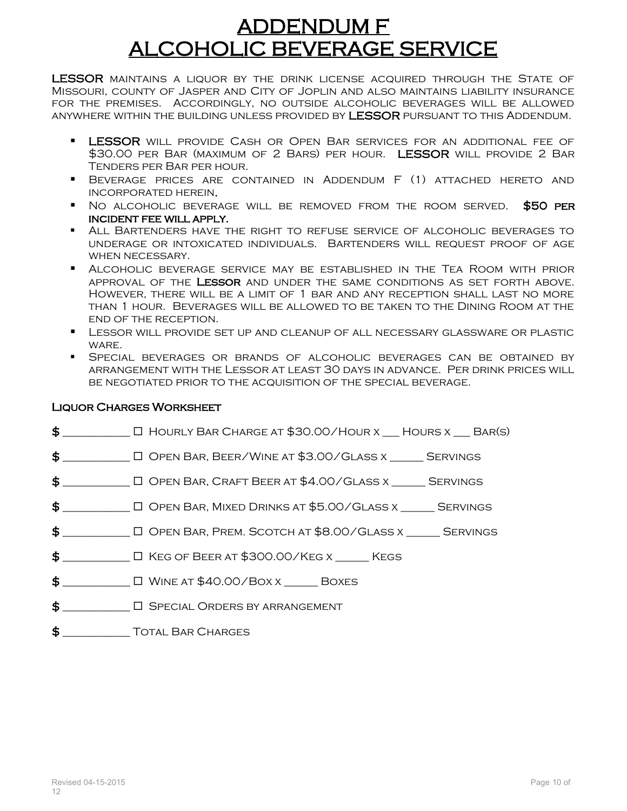## ADDENDUM F ALCOHOLIC BEVERAGE SERVICE

LESSOR MAINTAINS A LIQUOR BY THE DRINK LICENSE ACQUIRED THROUGH THE STATE OF Missouri, county of Jasper and City of Joplin and also maintains liability insurance for the premises. Accordingly, no outside alcoholic beverages will be allowed anywhere within the building unless provided by LESSOR pursuant to this Addendum.

- **LESSOR** WILL PROVIDE CASH OR OPEN BAR SERVICES FOR AN ADDITIONAL FEE OF \$30.00 per Bar (MAXIMUM OF 2 BARS) PER HOUR. LESSOR WILL PROVIDE 2 BAR Tenders per Bar per hour.
- Beverage prices are contained in Addendum F (1) attached hereto and incorporated herein.
- No alcoholic beverage will be removed from the room served. \$50 per incident fee will apply.
- All Bartenders have the right to refuse service of alcoholic beverages to underage or intoxicated individuals. Bartenders will request proof of age when necessary.
- Alcoholic beverage service may be established in the Tea Room with prior approval of the Lessor and under the same conditions as set forth above. However, there will be a limit of 1 bar and any reception shall last no more than 1 hour. Beverages will be allowed to be taken to the Dining Room at the end of the reception.
- Lessor will provide set up and cleanup of all necessary glassware or plastic WARE.
- Special beverages or brands of alcoholic beverages can be obtained by arrangement with the Lessor at least 30 days in advance. Per drink prices will be negotiated prior to the acquisition of the special beverage.

### Liquor Charges Worksheet

- $$$   $\Box$   $\Box$  Hourly Bar Charge at \$30.00/Hour x  $\Box$  Hours x  $\Box$  Bar(s)
- \$ \_\_\_\_\_\_\_\_\_\_\_\_ Open Bar, Beer/Wine at \$3.00/Glass x \_\_\_\_\_\_ Servings
- $\textcolor{red}{\$}$   $\Box$  Open Bar, Craft Beer at \$4.00/Glass x  $\Box$  Servings
- \$ \_\_\_\_\_\_\_\_\_\_\_\_ Open Bar, Mixed Drinks at \$5.00/Glass x \_\_\_\_\_\_ Servings
- $\$\text{}$   $\Box$  Open Bar, Prem. Scotch at \$8.00/Glass x  $\phantom{0}$  Servings
- \$ \_\_\_\_\_\_\_\_\_\_\_\_ Keg of Beer at \$300.00/Keg x \_\_\_\_\_\_ Kegs
- $\frac{1}{2}$   $\Box$  WINE AT \$40.00/BOX x BOXES
- \$ \_\_\_\_\_\_\_\_\_\_\_\_ Special Orders by arrangement
- $\sharp$  Total Bar Charges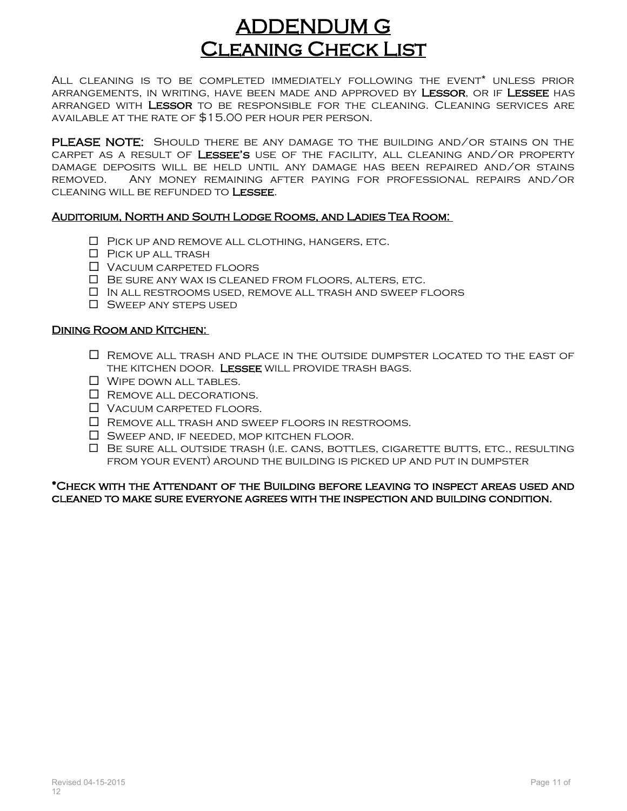## ADDENDUM G Cleaning Check List

All cleaning is to be completed immediately following the event\* unless prior arrangements, in writing, have been made and approved by Lessor, or if Lessee has arranged with Lessor to be responsible for the cleaning. Cleaning services are available at the rate of \$15.00 per hour per person.

PLEASE NOTE: SHOULD THERE BE ANY DAMAGE TO THE BUILDING AND/OR STAINS ON THE CARPET AS A RESULT OF LESSEE'S USE OF THE FACILITY, ALL CLEANING AND/OR PROPERTY damage deposits will be held until any damage has been repaired and/or stains removed. Any money remaining after paying for professional repairs and/or cleaning will be refunded to Lessee.

#### Auditorium, North and South Lodge Rooms, and Ladies Tea Room:

- $\Box$  PICK UP AND REMOVE ALL CLOTHING, HANGERS, ETC.
- **D** PICK UP ALL TRASH
- Vacuum carpeted floors
- Be sure any wax is cleaned from floors, alters, etc.
- $\Box$  In all restrooms used, remove all trash and sweep floors
- **D** SWEEP ANY STEPS USED

#### Dining Room and Kitchen:

- $\Box$  REMOVE ALL TRASH AND PLACE IN THE OUTSIDE DUMPSTER LOCATED TO THE EAST OF the kitchen door. Lessee will provide trash bags.
- $\Box$  WIPE DOWN ALL TABLES.
- $\Box$  REMOVE ALL DECORATIONS.
- $\Box$  Vacuum carpeted floors.
- $\Box$  REMOVE ALL TRASH AND SWEEP FLOORS IN RESTROOMS.
- $\Box$  SWEEP AND, IF NEEDED, MOP KITCHEN FLOOR.
- $\Box$  Be sure all outside trash (i.e. cans, bottles, cigarette butts, etc., resulting from your event) around the building is picked up and put in dumpster

\*Check with the Attendant of the Building before leaving to inspect areas used and cleaned to make sure everyone agrees with the inspection and building condition.